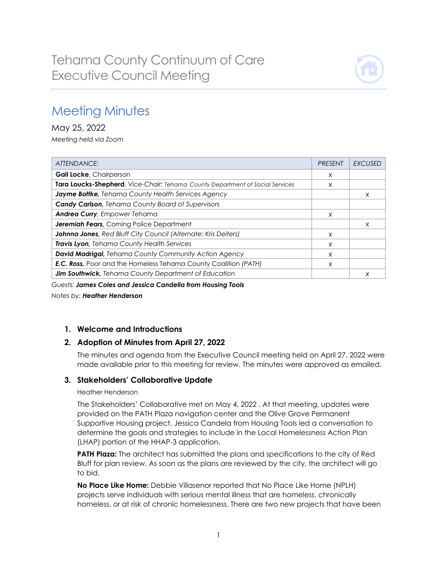

# Meeting Minutes

May 25, 2022 *Meeting held via Zoom*

| ATTENDANCE:                                                                   | <b>PRESENT</b> | EXCUSED |
|-------------------------------------------------------------------------------|----------------|---------|
| <b>Gail Locke, Chairperson</b>                                                | X              |         |
| Tara Loucks-Shepherd, Vice-Chair; Tehama County Department of Social Services | X              |         |
| Jayme Bottke, Tehama County Health Services Agency                            |                | X       |
| <b>Candy Carlson</b> , Tehama County Board of Supervisors                     |                |         |
| <b>Andrea Curry, Empower Tehama</b>                                           | X              |         |
| <b>Jeremiah Fears, Corning Police Department</b>                              |                | X       |
| Johnna Jones, Red Bluff City Council (Alternate: Kris Deiters)                | X              |         |
| Travis Lyon, Tehama County Health Services                                    | X              |         |
| <b>David Madrigal, Tehama County Community Action Agency</b>                  | X              |         |
| <b>E.C. Ross</b> , Poor and the Homeless Tehama County Coalition (PATH)       | X              |         |
| Jim Southwick, Tehama County Department of Education                          |                | X       |

*Guests: James Coles and Jessica Candella from Housing Tools*

*Notes by: Heather Henderson*

# **1. Welcome and Introductions**

# **2. Adoption of Minutes from April 27, 2022**

The minutes and agenda from the Executive Council meeting held on April 27, 2022 were made available prior to this meeting for review. The minutes were approved as emailed.

## **3. Stakeholders' Collaborative Update**

#### Heather Henderson

The Stakeholders' Collaborative met on May 4, 2022 . At that meeting, updates were provided on the PATH Plaza navigation center and the Olive Grove Permanent Supportive Housing project. Jessica Candela from Housing Tools led a conversation to determine the goals and strategies to include in the Local Homelessness Action Plan (LHAP) portion of the HHAP-3 application.

**PATH Plaza:** The architect has submitted the plans and specifications to the city of Red Bluff for plan review. As soon as the plans are reviewed by the city, the architect will go to bid.

**No Place Like Home:** Debbie Villasenor reported that No Place Like Home (NPLH) projects serve individuals with serious mental illness that are homeless, chronically homeless, or at risk of chronic homelessness. There are two new projects that have been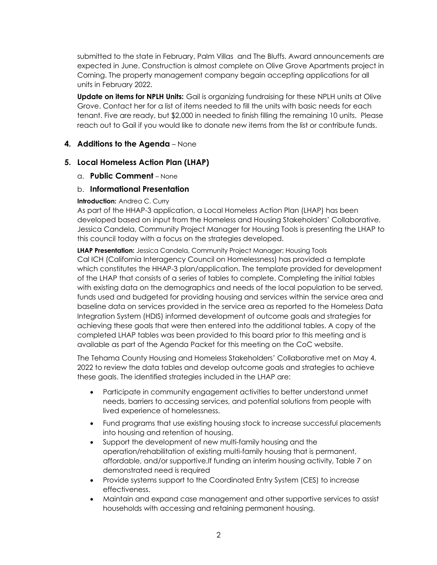submitted to the state in February, Palm Villas and The Bluffs. Award announcements are expected in June. Construction is almost complete on Olive Grove Apartments project in Corning. The property management company begain accepting applications for all units in February 2022.

**Update on items for NPLH Units:** Gail is organizing fundraising for these NPLH units at Olive Grove. Contact her for a list of items needed to fill the units with basic needs for each tenant. Five are ready, but \$2,000 in needed to finish filling the remaining 10 units. Please reach out to Gail if you would like to donate new items from the list or contribute funds.

# **4. Additions to the Agenda** – None

## **5. Local Homeless Action Plan (LHAP)**

a. **Public Comment** – None

## b. **Informational Presentation**

#### **Introduction:** Andrea C. Curry

As part of the HHAP-3 application, a Local Homeless Action Plan (LHAP) has been developed based on input from the Homeless and Housing Stakeholders' Collaborative. Jessica Candela, Community Project Manager for Housing Tools is presenting the LHAP to this council today with a focus on the strategies developed.

**LHAP Presentation:** Jessica Candela, Community Project Manager; Housing Tools Cal ICH (California Interagency Council on Homelessness) has provided a template which constitutes the HHAP-3 plan/application. The template provided for development of the LHAP that consists of a series of tables to complete. Completing the initial tables with existing data on the demographics and needs of the local population to be served, funds used and budgeted for providing housing and services within the service area and baseline data on services provided in the service area as reported to the Homeless Data Integration System (HDIS) informed development of outcome goals and strategies for achieving these goals that were then entered into the additional tables. A copy of the completed LHAP tables was been provided to this board prior to this meeting and is available as part of the Agenda Packet for this meeting on the CoC website.

The Tehama County Housing and Homeless Stakeholders' Collaborative met on May 4, 2022 to review the data tables and develop outcome goals and strategies to achieve these goals. The identified strategies included in the LHAP are:

- Participate in community engagement activities to better understand unmet needs, barriers to accessing services, and potential solutions from people with lived experience of homelessness.
- Fund programs that use existing housing stock to increase successful placements into housing and retention of housing.
- Support the development of new multi-family housing and the operation/rehabilitation of existing multi-family housing that is permanent, affordable, and/or supportive.If funding an interim housing activity, Table 7 on demonstrated need is required
- Provide systems support to the Coordinated Entry System (CES) to increase effectiveness.
- Maintain and expand case management and other supportive services to assist households with accessing and retaining permanent housing.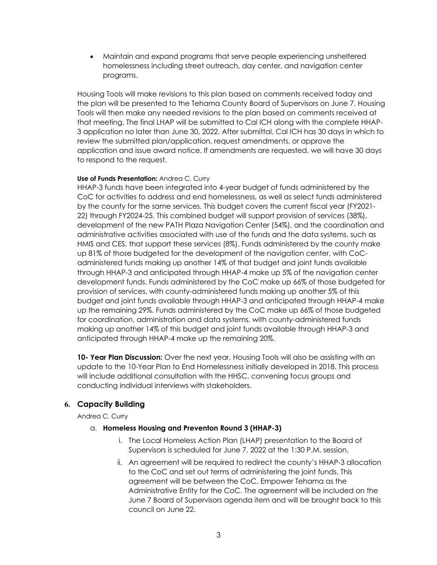• Maintain and expand programs that serve people experiencing unsheltered homelessness including street outreach, day center, and navigation center programs.

Housing Tools will make revisions to this plan based on comments received today and the plan will be presented to the Tehama County Board of Supervisors on June 7. Housing Tools will then make any needed revisions to the plan based on comments received at that meeting. The final LHAP will be submitted to Cal ICH along with the complete HHAP-3 application no later than June 30, 2022. After submittal, Cal ICH has 30 days in which to review the submitted plan/application, request amendments, or approve the application and issue award notice. If amendments are requested, we will have 30 days to respond to the request.

#### **Use of Funds Presentation:** Andrea C. Curry

HHAP-3 funds have been integrated into 4-year budget of funds administered by the CoC for activities to address and end homelessness, as well as select funds administered by the county for the same services. This budget covers the current fiscal year (FY2021- 22) through FY2024-25. This combined budget will support provision of services (38%), development of the new PATH Plaza Navigation Center (54%), and the coordination and administrative activities associated with use of the funds and the data systems, such as HMIS and CES, that support these services (8%). Funds administered by the county make up 81% of those budgeted for the development of the navigation center, with CoCadministered funds making up another 14% of that budget and joint funds available through HHAP-3 and anticipated through HHAP-4 make up 5% of the navigation center development funds. Funds administered by the CoC make up 66% of those budgeted for provision of services, with county-administered funds making up another 5% of this budget and joint funds available through HHAP-3 and anticipated through HHAP-4 make up the remaining 29%. Funds administered by the CoC make up 66% of those budgeted for coordination, administration and data systems, with county-administered funds making up another 14% of this budget and joint funds available through HHAP-3 and anticipated through HHAP-4 make up the remaining 20%.

**10- Year Plan Discussion:** Over the next year, Housing Tools will also be assisting with an update to the 10-Year Plan to End Homelessness initially developed in 2018. This process will include additional consultation with the HHSC, convening focus groups and conducting individual interviews with stakeholders.

## **6. Capacity Building**

Andrea C. Curry

## a. **Homeless Housing and Preventon Round 3 (HHAP-3)**

- i. The Local Homeless Action Plan (LHAP) presentation to the Board of Supervisors is scheduled for June 7, 2022 at the 1:30 P.M. session.
- ii. An agreement will be required to redirect the county's HHAP-3 allocation to the CoC and set out terms of administering the joint funds. This agreement will be between the CoC, Empower Tehama as the Administrative Entity for the CoC. The agreement will be included on the June 7 Board of Supervisors agenda item and will be brought back to this council on June 22.